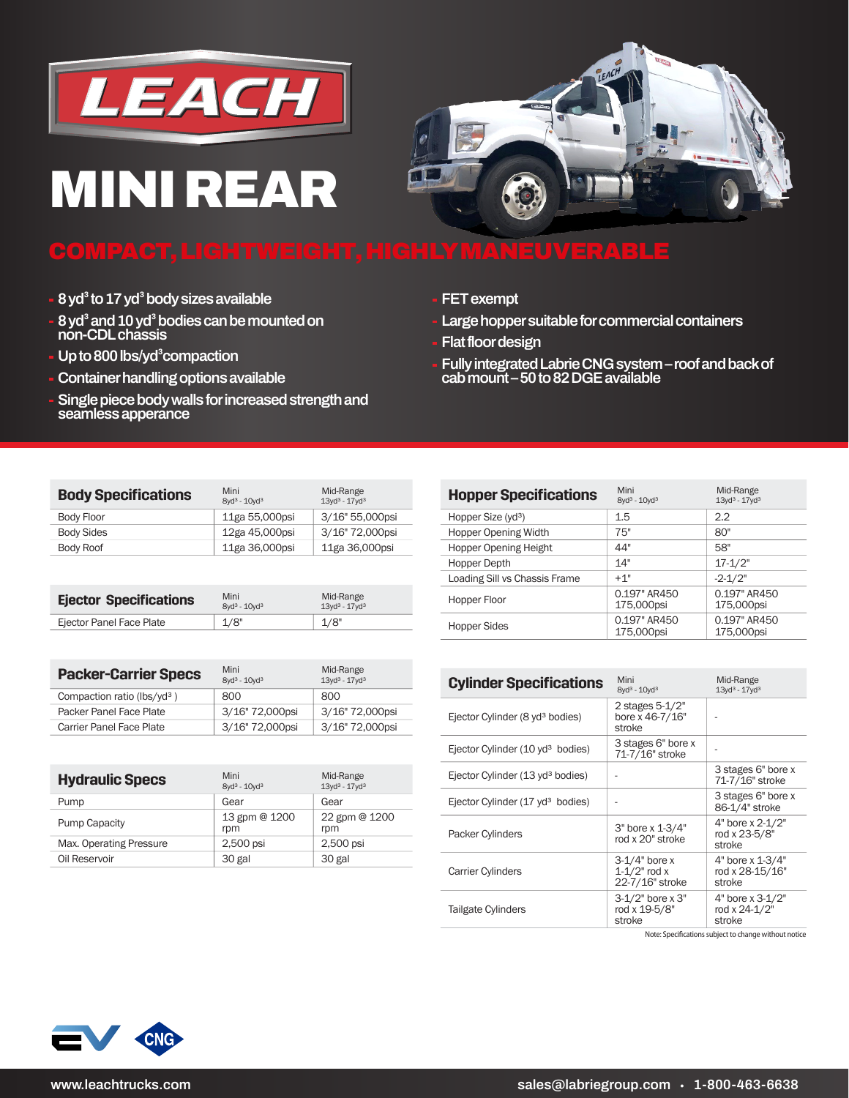

## **MINI REAR**



## **COMPACT, LIGHTWEIGHT, HIGHLY MANEUVERABLE**

- **8 yd<sup>3</sup> to 17 yd<sup>3</sup> body sizes available**
- **8 yd³ and 10 yd³ bodies can be mounted on non-CDL chassis**
- **Up to 800 lbs/yd³compaction**
- **Container handling options available**
- **Single piece body walls for increased strength and seamless apperance**
- **FET exempt**
- **Large hopper suitable for commercial containers**
- **Flat floor design**
- **Fully integrated Labrie CNG system roof and back of cab mount – 50 to 82 DGE available**

| <b>Body Specifications</b> | Mini<br>$8yd^3 - 10yd^3$ | Mid-Range<br>$13yd^3 - 17yd^3$ |
|----------------------------|--------------------------|--------------------------------|
| Body Floor                 | 11ga 55,000psi           | 3/16" 55,000psi                |
| Body Sides                 | 12ga 45,000psi           | 3/16" 72,000psi                |
| Body Roof                  | 11ga 36,000psi           | 11ga 36,000psi                 |

| <b>Ejector Specifications</b> | Mini<br>$8yd^3 - 10yd^3$ | Mid-Range<br>$13$ vd <sup>3</sup> - $17$ vd <sup>3</sup> |
|-------------------------------|--------------------------|----------------------------------------------------------|
| Ejector Panel Face Plate      | 1/8"                     | 1/8"                                                     |
|                               |                          |                                                          |

| <b>Packer-Carrier Specs</b>     | Mini<br>$8yd^3 - 10yd^3$ | Mid-Range<br>$13yd^3 - 17yd^3$ |
|---------------------------------|--------------------------|--------------------------------|
| Compaction ratio ( $lbs/vd^3$ ) | 800                      | 800                            |
| Packer Panel Face Plate         | 3/16" 72,000psi          | 3/16" 72,000psi                |
| Carrier Panel Face Plate        | 3/16" 72,000psi          | 3/16" 72,000psi                |

| <b>Hydraulic Specs</b>  | Mini<br>$8yd^3 - 10yd^3$ | Mid-Range<br>$13yd^3 - 17yd^3$ |
|-------------------------|--------------------------|--------------------------------|
| Pump                    | Gear                     | Gear                           |
| <b>Pump Capacity</b>    | 13 gpm @ 1200<br>rpm     | 22 gpm @ 1200<br>rpm           |
| Max. Operating Pressure | 2,500 psi                | 2,500 psi                      |
| Oil Reservoir           | 30 gal                   | 30 gal                         |

| <b>Hopper Specifications</b>   | Mini<br>$8yd^3 - 10yd^3$   | Mid-Range<br>$13yd^3 - 17yd^3$ |
|--------------------------------|----------------------------|--------------------------------|
| Hopper Size (yd <sup>3</sup> ) | 1.5                        | 2.2                            |
| <b>Hopper Opening Width</b>    | 75"                        | 80"                            |
| <b>Hopper Opening Height</b>   | 44"                        | 58"                            |
| Hopper Depth                   | 14"                        | $17 - 1/2"$                    |
| Loading Sill vs Chassis Frame  | $+1"$                      | $-2 - 1/2"$                    |
| Hopper Floor                   | 0.197" AR450<br>175,000psi | 0.197" AR450<br>175,000psi     |
| Hopper Sides                   | 0.197" AR450<br>175,000psi | 0.197" AR450<br>175,000psi     |

| <b>Cylinder Specifications</b>               | Mini<br>8vd <sup>3</sup> - 10vd <sup>3</sup>            | Mid-Range<br>$13yd^3 - 17yd^3$                  |
|----------------------------------------------|---------------------------------------------------------|-------------------------------------------------|
| Ejector Cylinder (8 yd <sup>3</sup> bodies)  | 2 stages 5-1/2"<br>bore x 46-7/16"<br>stroke            |                                                 |
| Ejector Cylinder (10 yd <sup>3</sup> bodies) | 3 stages 6" bore x<br>71-7/16" stroke                   |                                                 |
| Ejector Cylinder (13 yd <sup>3</sup> bodies) |                                                         | 3 stages 6" bore x<br>71-7/16" stroke           |
| Ejector Cylinder (17 yd <sup>3</sup> bodies) |                                                         | 3 stages 6" bore x<br>86-1/4" stroke            |
| Packer Cylinders                             | 3" bore x 1-3/4"<br>rod x 20" stroke                    | 4" bore x 2-1/2"<br>rod x 23-5/8"<br>stroke     |
| Carrier Cylinders                            | $3-1/4"$ bore x<br>$1 - 1/2$ " rod x<br>22-7/16" stroke | 4" bore x 1-3/4"<br>rod x 28-15/16"<br>stroke   |
| Tailgate Cylinders                           | $3-1/2"$ bore x $3"$<br>rod x 19-5/8"<br>stroke         | $4"$ bore x $3-1/2"$<br>rod x 24-1/2"<br>stroke |

Note: Specifications subject to change without notice